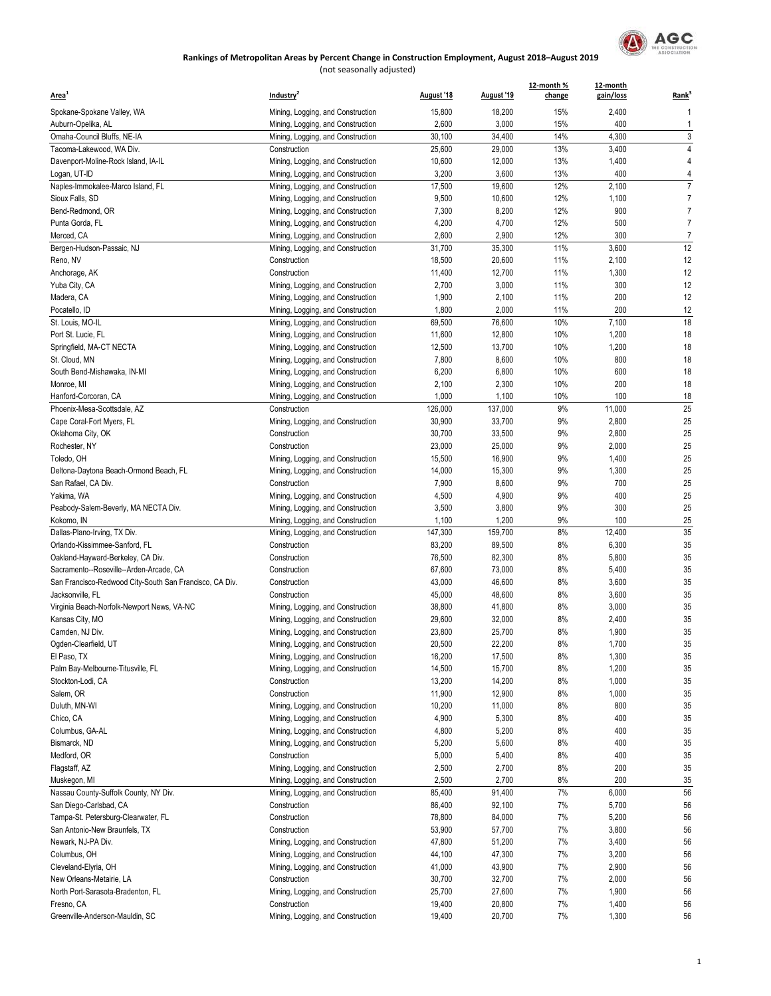

| Area <sup>1</sup>                                             | Industry <sup>2</sup>                                                  | August '18       | August '19       | 12-month %<br>change | 12-month<br>gain/loss | Rank <sup>3</sup>   |
|---------------------------------------------------------------|------------------------------------------------------------------------|------------------|------------------|----------------------|-----------------------|---------------------|
| Spokane-Spokane Valley, WA                                    | Mining, Logging, and Construction                                      | 15,800           | 18,200           | 15%                  | 2,400                 | $\overline{1}$      |
| Auburn-Opelika, AL                                            | Mining, Logging, and Construction                                      | 2,600            | 3,000            | 15%                  | 400                   | $\mathbf{1}$        |
| Omaha-Council Bluffs, NE-IA                                   | Mining, Logging, and Construction                                      | 30,100           | 34,400           | 14%                  | 4,300                 | 3                   |
| Tacoma-Lakewood, WA Div.                                      | Construction                                                           | 25,600           | 29,000           | 13%                  | 3,400                 | 4                   |
| Davenport-Moline-Rock Island, IA-IL                           | Mining, Logging, and Construction                                      | 10,600           | 12,000           | 13%                  | 1,400                 | 4                   |
| Logan, UT-ID                                                  | Mining, Logging, and Construction                                      | 3,200            | 3,600            | 13%                  | 400                   | 4                   |
| Naples-Immokalee-Marco Island, FL                             | Mining, Logging, and Construction                                      | 17,500           | 19,600           | 12%                  | 2,100                 | $\overline{7}$      |
| Sioux Falls, SD<br>Bend-Redmond, OR                           | Mining, Logging, and Construction                                      | 9,500<br>7,300   | 10,600<br>8,200  | 12%<br>12%           | 1,100<br>900          | 7<br>$\overline{7}$ |
| Punta Gorda, FL                                               | Mining, Logging, and Construction<br>Mining, Logging, and Construction | 4,200            | 4,700            | 12%                  | 500                   | $\overline{7}$      |
| Merced, CA                                                    | Mining, Logging, and Construction                                      | 2,600            | 2,900            | 12%                  | 300                   | $\overline{7}$      |
| Bergen-Hudson-Passaic, NJ                                     | Mining, Logging, and Construction                                      | 31,700           | 35,300           | 11%                  | 3,600                 | 12                  |
| Reno, NV                                                      | Construction                                                           | 18,500           | 20,600           | 11%                  | 2,100                 | 12                  |
| Anchorage, AK                                                 | Construction                                                           | 11,400           | 12,700           | 11%                  | 1,300                 | 12                  |
| Yuba City, CA                                                 | Mining, Logging, and Construction                                      | 2,700            | 3,000            | 11%                  | 300                   | 12                  |
| Madera, CA                                                    | Mining, Logging, and Construction                                      | 1,900            | 2,100            | 11%                  | 200                   | 12                  |
| Pocatello, ID                                                 | Mining, Logging, and Construction                                      | 1,800            | 2,000            | 11%                  | 200                   | 12                  |
| St. Louis, MO-IL                                              | Mining, Logging, and Construction                                      | 69,500           | 76,600           | 10%                  | 7,100                 | 18                  |
| Port St. Lucie, FL                                            | Mining, Logging, and Construction                                      | 11,600           | 12,800           | 10%                  | 1,200                 | 18                  |
| Springfield, MA-CT NECTA                                      | Mining, Logging, and Construction                                      | 12,500           | 13,700           | 10%                  | 1,200                 | 18                  |
| St. Cloud, MN                                                 | Mining, Logging, and Construction                                      | 7,800            | 8,600            | 10%                  | 800                   | 18                  |
| South Bend-Mishawaka, IN-MI                                   | Mining, Logging, and Construction                                      | 6,200            | 6,800            | 10%                  | 600                   | 18                  |
| Monroe, MI                                                    | Mining, Logging, and Construction                                      | 2,100            | 2,300            | 10%                  | 200                   | 18                  |
| Hanford-Corcoran, CA                                          | Mining, Logging, and Construction                                      | 1,000            | 1,100            | 10%                  | 100                   | 18                  |
| Phoenix-Mesa-Scottsdale, AZ                                   | Construction                                                           | 126,000          | 137,000          | 9%                   | 11,000                | 25                  |
| Cape Coral-Fort Myers, FL                                     | Mining, Logging, and Construction                                      | 30,900           | 33,700           | 9%                   | 2,800                 | 25                  |
| Oklahoma City, OK                                             | Construction                                                           | 30,700           | 33,500           | 9%                   | 2,800                 | 25                  |
| Rochester, NY                                                 | Construction                                                           | 23,000           | 25,000           | 9%                   | 2,000                 | 25                  |
| Toledo, OH                                                    | Mining, Logging, and Construction                                      | 15,500           | 16,900<br>15,300 | 9%<br>9%             | 1,400                 | 25<br>25            |
| Deltona-Daytona Beach-Ormond Beach, FL<br>San Rafael, CA Div. | Mining, Logging, and Construction<br>Construction                      | 14,000<br>7,900  | 8,600            | 9%                   | 1,300<br>700          | 25                  |
| Yakima, WA                                                    | Mining, Logging, and Construction                                      | 4,500            | 4,900            | 9%                   | 400                   | 25                  |
| Peabody-Salem-Beverly, MA NECTA Div.                          | Mining, Logging, and Construction                                      | 3,500            | 3,800            | 9%                   | 300                   | 25                  |
| Kokomo, IN                                                    | Mining, Logging, and Construction                                      | 1,100            | 1,200            | 9%                   | 100                   | 25                  |
| Dallas-Plano-Irving, TX Div.                                  | Mining, Logging, and Construction                                      | 147,300          | 159,700          | 8%                   | 12,400                | 35                  |
| Orlando-Kissimmee-Sanford, FL                                 | Construction                                                           | 83,200           | 89,500           | 8%                   | 6,300                 | 35                  |
| Oakland-Hayward-Berkeley, CA Div.                             | Construction                                                           | 76,500           | 82,300           | 8%                   | 5,800                 | 35                  |
| Sacramento--Roseville--Arden-Arcade, CA                       | Construction                                                           | 67,600           | 73,000           | 8%                   | 5,400                 | 35                  |
| San Francisco-Redwood City-South San Francisco, CA Div.       | Construction                                                           | 43,000           | 46,600           | 8%                   | 3,600                 | 35                  |
| Jacksonville, FL                                              | Construction                                                           | 45,000           | 48,600           | 8%                   | 3,600                 | 35                  |
| Virginia Beach-Norfolk-Newport News, VA-NC                    | Mining, Logging, and Construction                                      | 38,800           | 41,800           | 8%                   | 3,000                 | 35                  |
| Kansas City, MO                                               | Mining, Logging, and Construction                                      | 29,600           | 32,000           | 8%                   | 2,400                 | 35                  |
| Camden, NJ Div.                                               | Mining, Logging, and Construction                                      | 23,800           | 25,700           | 8%                   | 1,900                 | 35                  |
| Ogden-Clearfield, UT                                          | Mining, Logging, and Construction                                      | 20,500           | 22,200           | 8%                   | 1,700                 | 35                  |
| El Paso, TX                                                   | Mining, Logging, and Construction                                      | 16,200           | 17,500           | 8%                   | 1,300                 | 35                  |
| Palm Bay-Melbourne-Titusville, FL                             | Mining, Logging, and Construction                                      | 14,500           | 15,700           | 8%                   | 1,200                 | 35                  |
| Stockton-Lodi, CA<br>Salem, OR                                | Construction<br>Construction                                           | 13,200<br>11,900 | 14,200<br>12,900 | 8%<br>8%             | 1,000<br>1,000        | 35<br>35            |
| Duluth, MN-WI                                                 | Mining, Logging, and Construction                                      | 10,200           | 11,000           | 8%                   | 800                   | 35                  |
| Chico, CA                                                     | Mining, Logging, and Construction                                      | 4,900            | 5,300            | 8%                   | 400                   | 35                  |
| Columbus, GA-AL                                               | Mining, Logging, and Construction                                      | 4,800            | 5,200            | 8%                   | 400                   | 35                  |
| Bismarck, ND                                                  | Mining, Logging, and Construction                                      | 5,200            | 5,600            | 8%                   | 400                   | 35                  |
| Medford, OR                                                   | Construction                                                           | 5,000            | 5,400            | 8%                   | 400                   | 35                  |
| Flagstaff, AZ                                                 | Mining, Logging, and Construction                                      | 2,500            | 2,700            | 8%                   | 200                   | 35                  |
| Muskegon, MI                                                  | Mining, Logging, and Construction                                      | 2,500            | 2,700            | 8%                   | 200                   | 35                  |
| Nassau County-Suffolk County, NY Div.                         | Mining, Logging, and Construction                                      | 85,400           | 91,400           | 7%                   | 6,000                 | 56                  |
| San Diego-Carlsbad, CA                                        | Construction                                                           | 86,400           | 92,100           | 7%                   | 5,700                 | 56                  |
| Tampa-St. Petersburg-Clearwater, FL                           | Construction                                                           | 78,800           | 84,000           | 7%                   | 5,200                 | 56                  |
| San Antonio-New Braunfels, TX                                 | Construction                                                           | 53,900           | 57,700           | 7%                   | 3,800                 | 56                  |
| Newark, NJ-PA Div.                                            | Mining, Logging, and Construction                                      | 47,800           | 51,200           | 7%                   | 3,400                 | 56                  |
| Columbus, OH                                                  | Mining, Logging, and Construction                                      | 44,100           | 47,300           | 7%                   | 3,200                 | 56                  |
| Cleveland-Elyria, OH                                          | Mining, Logging, and Construction                                      | 41,000           | 43,900           | 7%                   | 2,900                 | 56                  |
| New Orleans-Metairie, LA                                      | Construction                                                           | 30,700           | 32,700           | 7%                   | 2,000                 | 56                  |
| North Port-Sarasota-Bradenton, FL<br>Fresno, CA               | Mining, Logging, and Construction                                      | 25,700           | 27,600           | 7%                   | 1,900                 | 56<br>56            |
| Greenville-Anderson-Mauldin, SC                               | Construction<br>Mining, Logging, and Construction                      | 19,400<br>19,400 | 20,800<br>20,700 | 7%<br>7%             | 1,400<br>1,300        | 56                  |
|                                                               |                                                                        |                  |                  |                      |                       |                     |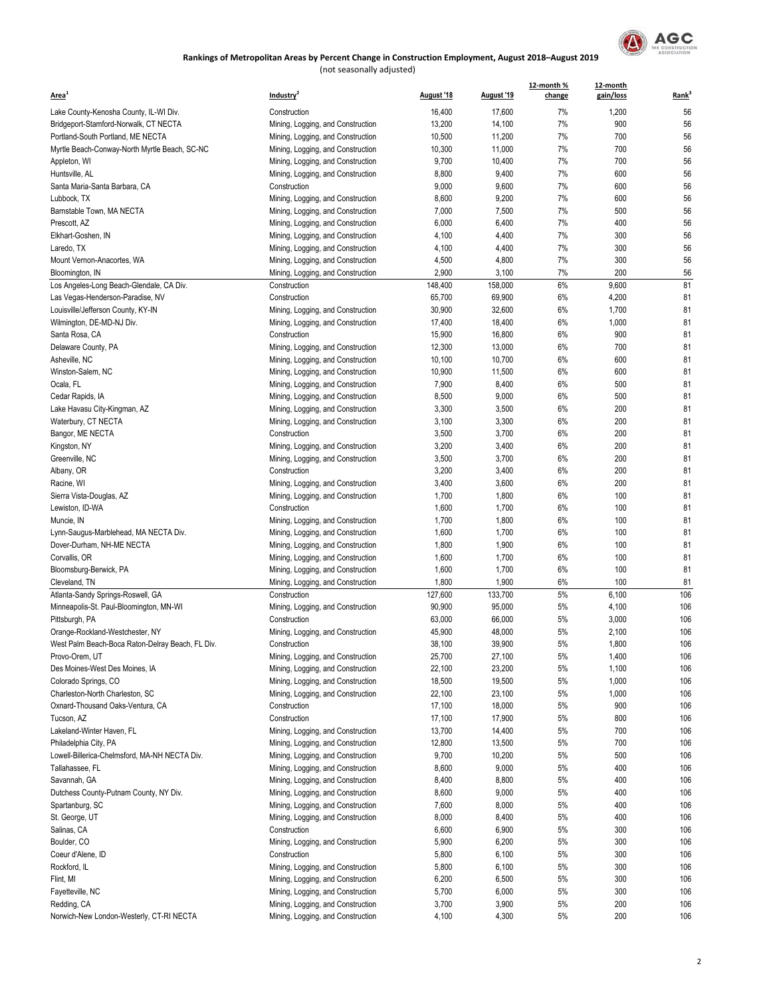

| Area <sup>1</sup>                                   | Industry <sup>2</sup>                                                  | August '18     | August '19     | 12-month %<br>change | 12-month<br>gain/loss | Rank <sup>3</sup> |
|-----------------------------------------------------|------------------------------------------------------------------------|----------------|----------------|----------------------|-----------------------|-------------------|
| Lake County-Kenosha County, IL-WI Div.              | Construction                                                           | 16,400         | 17,600         | 7%                   | 1,200                 | 56                |
| Bridgeport-Stamford-Norwalk, CT NECTA               | Mining, Logging, and Construction                                      | 13,200         | 14,100         | 7%                   | 900                   | 56                |
| Portland-South Portland, ME NECTA                   | Mining, Logging, and Construction                                      | 10,500         | 11,200         | 7%                   | 700                   | 56                |
| Myrtle Beach-Conway-North Myrtle Beach, SC-NC       | Mining, Logging, and Construction                                      | 10,300         | 11,000         | 7%                   | 700                   | 56                |
| Appleton, WI                                        | Mining, Logging, and Construction                                      | 9,700          | 10,400         | 7%                   | 700                   | 56                |
| Huntsville, AL                                      | Mining, Logging, and Construction                                      | 8,800          | 9,400          | 7%                   | 600                   | 56                |
| Santa Maria-Santa Barbara, CA                       | Construction                                                           | 9,000          | 9,600          | 7%                   | 600                   | 56                |
| Lubbock, TX                                         | Mining, Logging, and Construction                                      | 8,600          | 9,200          | 7%                   | 600                   | 56                |
| Barnstable Town, MA NECTA                           | Mining, Logging, and Construction                                      | 7,000          | 7,500          | 7%                   | 500                   | 56                |
| Prescott, AZ                                        | Mining, Logging, and Construction                                      | 6,000          | 6,400          | 7%                   | 400                   | 56                |
| Elkhart-Goshen, IN                                  | Mining, Logging, and Construction                                      | 4,100          | 4,400          | 7%                   | 300                   | 56                |
| Laredo, TX                                          | Mining, Logging, and Construction                                      | 4,100          | 4,400          | 7%                   | 300                   | 56                |
| Mount Vernon-Anacortes, WA                          | Mining, Logging, and Construction                                      | 4,500          | 4,800          | 7%                   | 300                   | 56                |
| Bloomington, IN                                     | Mining, Logging, and Construction                                      | 2,900          | 3,100          | 7%                   | 200                   | 56                |
| Los Angeles-Long Beach-Glendale, CA Div.            | Construction                                                           | 148,400        | 158,000        | 6%                   | 9,600                 | 81                |
| Las Vegas-Henderson-Paradise, NV                    | Construction                                                           | 65,700         | 69,900         | 6%                   | 4,200                 | 81                |
| Louisville/Jefferson County, KY-IN                  | Mining, Logging, and Construction                                      | 30,900         | 32,600         | 6%                   | 1,700                 | 81                |
| Wilmington, DE-MD-NJ Div.                           | Mining, Logging, and Construction                                      | 17,400         | 18,400         | 6%                   | 1,000                 | 81                |
| Santa Rosa, CA                                      | Construction                                                           | 15,900         | 16,800         | 6%                   | 900                   | 81                |
| Delaware County, PA                                 | Mining, Logging, and Construction                                      | 12,300         | 13,000         | 6%                   | 700                   | 81                |
| Asheville, NC                                       | Mining, Logging, and Construction                                      | 10,100         | 10,700         | 6%                   | 600                   | 81                |
| Winston-Salem, NC                                   | Mining, Logging, and Construction                                      | 10,900         | 11,500         | 6%                   | 600                   | 81                |
| Ocala, FL                                           | Mining, Logging, and Construction                                      | 7,900          | 8,400          | 6%                   | 500                   | 81                |
| Cedar Rapids, IA                                    | Mining, Logging, and Construction                                      | 8,500          | 9,000          | 6%                   | 500                   | 81                |
| Lake Havasu City-Kingman, AZ                        | Mining, Logging, and Construction                                      | 3,300          | 3,500          | 6%                   | 200                   | 81                |
| Waterbury, CT NECTA                                 | Mining, Logging, and Construction                                      | 3,100          | 3,300          | 6%                   | 200                   | 81                |
| Bangor, ME NECTA                                    | Construction                                                           | 3,500          | 3,700          | 6%                   | 200                   | 81                |
| Kingston, NY                                        | Mining, Logging, and Construction                                      | 3,200          | 3,400          | 6%                   | 200                   | 81                |
| Greenville, NC                                      | Mining, Logging, and Construction                                      | 3,500          | 3,700          | 6%                   | 200                   | 81                |
| Albany, OR                                          | Construction                                                           | 3,200          | 3,400          | 6%                   | 200                   | 81                |
| Racine, WI                                          | Mining, Logging, and Construction                                      | 3,400          | 3,600          | 6%                   | 200                   | 81                |
| Sierra Vista-Douglas, AZ                            | Mining, Logging, and Construction                                      | 1,700          | 1,800          | 6%                   | 100                   | 81                |
| Lewiston, ID-WA                                     | Construction                                                           | 1,600          | 1,700          | 6%<br>6%             | 100<br>100            | 81<br>81          |
| Muncie, IN<br>Lynn-Saugus-Marblehead, MA NECTA Div. | Mining, Logging, and Construction<br>Mining, Logging, and Construction | 1,700<br>1,600 | 1,800<br>1,700 | 6%                   | 100                   | 81                |
| Dover-Durham, NH-ME NECTA                           | Mining, Logging, and Construction                                      | 1,800          | 1,900          | 6%                   | 100                   | 81                |
| Corvallis, OR                                       | Mining, Logging, and Construction                                      | 1,600          | 1,700          | 6%                   | 100                   | 81                |
| Bloomsburg-Berwick, PA                              | Mining, Logging, and Construction                                      | 1,600          | 1,700          | 6%                   | 100                   | 81                |
| Cleveland, TN                                       | Mining, Logging, and Construction                                      | 1,800          | 1,900          | 6%                   | 100                   | 81                |
| Atlanta-Sandy Springs-Roswell, GA                   | Construction                                                           | 127,600        | 133,700        | 5%                   | 6,100                 | 106               |
| Minneapolis-St. Paul-Bloomington, MN-WI             | Mining, Logging, and Construction                                      | 90,900         | 95,000         | 5%                   | 4,100                 | 106               |
| Pittsburgh, PA                                      | Construction                                                           | 63,000         | 66,000         | 5%                   | 3,000                 | 106               |
| Orange-Rockland-Westchester, NY                     | Mining, Logging, and Construction                                      | 45,900         | 48,000         | 5%                   | 2,100                 | 106               |
| West Palm Beach-Boca Raton-Delray Beach, FL Div.    | Construction                                                           | 38,100         | 39,900         | $5\%$                | 1,800                 | 106               |
| Provo-Orem, UT                                      | Mining, Logging, and Construction                                      | 25,700         | 27,100         | 5%                   | 1,400                 | 106               |
| Des Moines-West Des Moines, IA                      | Mining, Logging, and Construction                                      | 22,100         | 23,200         | 5%                   | 1,100                 | 106               |
| Colorado Springs, CO                                | Mining, Logging, and Construction                                      | 18,500         | 19,500         | 5%                   | 1,000                 | 106               |
| Charleston-North Charleston, SC                     | Mining, Logging, and Construction                                      | 22,100         | 23,100         | 5%                   | 1,000                 | 106               |
| Oxnard-Thousand Oaks-Ventura, CA                    | Construction                                                           | 17,100         | 18,000         | 5%                   | 900                   | 106               |
| Tucson, AZ                                          | Construction                                                           | 17,100         | 17,900         | 5%                   | 800                   | 106               |
| Lakeland-Winter Haven, FL                           | Mining, Logging, and Construction                                      | 13,700         | 14,400         | 5%                   | 700                   | 106               |
| Philadelphia City, PA                               | Mining, Logging, and Construction                                      | 12,800         | 13,500         | 5%                   | 700                   | 106               |
| Lowell-Billerica-Chelmsford, MA-NH NECTA Div.       | Mining, Logging, and Construction                                      | 9,700          | 10,200         | 5%                   | 500                   | 106               |
| Tallahassee, FL                                     | Mining, Logging, and Construction                                      | 8,600          | 9,000          | 5%                   | 400                   | 106               |
| Savannah, GA                                        | Mining, Logging, and Construction                                      | 8,400          | 8,800          | 5%                   | 400                   | 106               |
| Dutchess County-Putnam County, NY Div.              | Mining, Logging, and Construction                                      | 8,600          | 9,000          | 5%                   | 400                   | 106               |
| Spartanburg, SC                                     | Mining, Logging, and Construction                                      | 7,600          | 8,000          | 5%                   | 400                   | 106               |
| St. George, UT                                      | Mining, Logging, and Construction                                      | 8,000          | 8,400          | 5%                   | 400                   | 106               |
| Salinas, CA                                         | Construction                                                           | 6,600          | 6,900          | 5%                   | 300                   | 106               |
| Boulder, CO                                         | Mining, Logging, and Construction                                      | 5,900          | 6,200          | 5%                   | 300                   | 106               |
| Coeur d'Alene, ID                                   | Construction                                                           | 5,800          | 6,100          | 5%                   | 300                   | 106               |
| Rockford, IL                                        | Mining, Logging, and Construction                                      | 5,800          | 6,100          | 5%                   | 300                   | 106               |
| Flint, MI                                           | Mining, Logging, and Construction                                      | 6,200          | 6,500          | 5%                   | 300                   | 106               |
| Fayetteville, NC                                    | Mining, Logging, and Construction                                      | 5,700          | 6,000          | 5%                   | 300                   | 106               |
| Redding, CA                                         | Mining, Logging, and Construction                                      | 3,700          | 3,900          | 5%                   | 200                   | 106               |
| Norwich-New London-Westerly, CT-RI NECTA            | Mining, Logging, and Construction                                      | 4,100          | 4,300          | 5%                   | 200                   | 106               |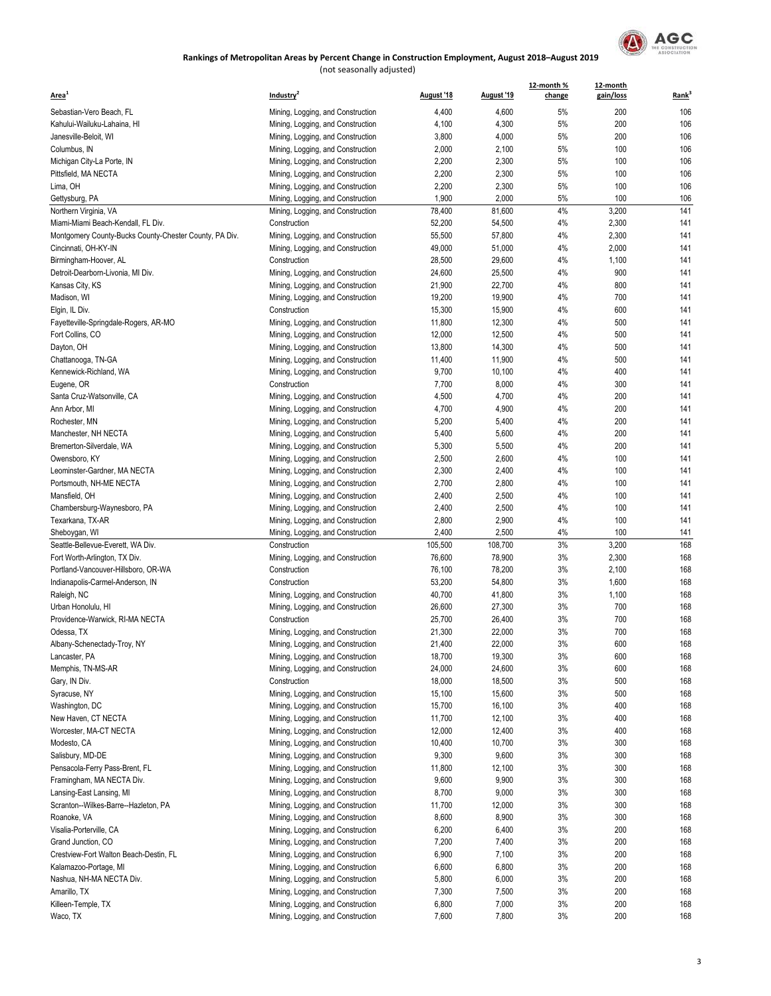

| Area <sup>1</sup>                                           | Industry <sup>2</sup>                                                  | August '18      | August '19      | 12-month %<br>change | 12-month<br>gain/loss | Rank <sup>3</sup> |
|-------------------------------------------------------------|------------------------------------------------------------------------|-----------------|-----------------|----------------------|-----------------------|-------------------|
| Sebastian-Vero Beach, FL                                    | Mining, Logging, and Construction                                      | 4,400           | 4,600           | 5%                   | 200                   | 106               |
| Kahului-Wailuku-Lahaina, HI                                 | Mining, Logging, and Construction                                      | 4,100           | 4,300           | 5%                   | 200                   | 106               |
| Janesville-Beloit, WI                                       | Mining, Logging, and Construction                                      | 3,800           | 4,000           | 5%                   | 200                   | 106               |
| Columbus, IN                                                | Mining, Logging, and Construction                                      | 2,000           | 2,100           | 5%                   | 100                   | 106               |
| Michigan City-La Porte, IN                                  | Mining, Logging, and Construction                                      | 2,200           | 2,300           | 5%                   | 100                   | 106               |
| Pittsfield, MA NECTA                                        | Mining, Logging, and Construction                                      | 2,200           | 2,300           | 5%                   | 100                   | 106               |
| Lima, OH                                                    | Mining, Logging, and Construction                                      | 2,200           | 2,300           | 5%                   | 100                   | 106               |
| Gettysburg, PA                                              | Mining, Logging, and Construction                                      | 1,900           | 2,000           | 5%                   | 100                   | 106               |
| Northern Virginia, VA                                       | Mining, Logging, and Construction                                      | 78,400          | 81,600          | 4%                   | 3,200                 | 141               |
| Miami-Miami Beach-Kendall, FL Div.                          | Construction                                                           | 52,200          | 54,500          | 4%                   | 2,300                 | 141               |
| Montgomery County-Bucks County-Chester County, PA Div.      | Mining, Logging, and Construction                                      | 55,500          | 57,800          | 4%                   | 2,300                 | 141               |
| Cincinnati, OH-KY-IN                                        | Mining, Logging, and Construction                                      | 49,000          | 51,000          | 4%                   | 2,000                 | 141               |
| Birmingham-Hoover, AL                                       | Construction                                                           | 28,500          | 29,600          | 4%                   | 1,100                 | 141               |
| Detroit-Dearborn-Livonia, MI Div.                           | Mining, Logging, and Construction                                      | 24,600          | 25,500          | 4%                   | 900                   | 141               |
| Kansas City, KS                                             | Mining, Logging, and Construction                                      | 21,900          | 22,700          | 4%                   | 800                   | 141               |
| Madison, WI                                                 | Mining, Logging, and Construction                                      | 19,200          | 19,900          | 4%                   | 700                   | 141               |
| Elgin, IL Div.                                              | Construction                                                           | 15,300          | 15,900          | 4%                   | 600                   | 141               |
| Fayetteville-Springdale-Rogers, AR-MO                       | Mining, Logging, and Construction                                      | 11,800          | 12,300          | 4%                   | 500                   | 141               |
| Fort Collins, CO                                            | Mining, Logging, and Construction                                      | 12,000          | 12,500          | 4%                   | 500                   | 141               |
| Dayton, OH                                                  | Mining, Logging, and Construction                                      | 13,800          | 14,300          | 4%                   | 500                   | 141               |
| Chattanooga, TN-GA                                          | Mining, Logging, and Construction                                      | 11,400          | 11,900          | 4%                   | 500                   | 141               |
| Kennewick-Richland, WA                                      | Mining, Logging, and Construction                                      | 9,700           | 10,100          | 4%                   | 400                   | 141               |
| Eugene, OR                                                  | Construction                                                           | 7,700           | 8,000           | 4%                   | 300                   | 141               |
| Santa Cruz-Watsonville, CA                                  | Mining, Logging, and Construction                                      | 4,500           | 4,700           | 4%                   | 200                   | 141               |
| Ann Arbor, MI                                               | Mining, Logging, and Construction                                      | 4,700           | 4,900           | 4%                   | 200                   | 141               |
| Rochester, MN                                               | Mining, Logging, and Construction                                      | 5,200           | 5,400           | 4%                   | 200                   | 141<br>141        |
| Manchester, NH NECTA<br>Bremerton-Silverdale, WA            | Mining, Logging, and Construction                                      | 5,400<br>5,300  | 5,600<br>5,500  | 4%<br>4%             | 200<br>200            | 141               |
| Owensboro, KY                                               | Mining, Logging, and Construction                                      | 2,500           | 2,600           | 4%                   | 100                   | 141               |
| Leominster-Gardner, MA NECTA                                | Mining, Logging, and Construction<br>Mining, Logging, and Construction | 2,300           | 2,400           | 4%                   | 100                   | 141               |
| Portsmouth, NH-ME NECTA                                     | Mining, Logging, and Construction                                      | 2,700           | 2,800           | 4%                   | 100                   | 141               |
| Mansfield, OH                                               | Mining, Logging, and Construction                                      | 2,400           | 2,500           | 4%                   | 100                   | 141               |
| Chambersburg-Waynesboro, PA                                 | Mining, Logging, and Construction                                      | 2,400           | 2,500           | 4%                   | 100                   | 141               |
| Texarkana, TX-AR                                            | Mining, Logging, and Construction                                      | 2,800           | 2,900           | 4%                   | 100                   | 141               |
| Sheboygan, WI                                               | Mining, Logging, and Construction                                      | 2,400           | 2,500           | 4%                   | 100                   | 141               |
| Seattle-Bellevue-Everett, WA Div.                           | Construction                                                           | 105,500         | 108,700         | 3%                   | 3,200                 | 168               |
| Fort Worth-Arlington, TX Div.                               | Mining, Logging, and Construction                                      | 76,600          | 78,900          | 3%                   | 2,300                 | 168               |
| Portland-Vancouver-Hillsboro, OR-WA                         | Construction                                                           | 76,100          | 78,200          | 3%                   | 2,100                 | 168               |
| Indianapolis-Carmel-Anderson, IN                            | Construction                                                           | 53,200          | 54,800          | 3%                   | 1,600                 | 168               |
| Raleigh, NC                                                 | Mining, Logging, and Construction                                      | 40,700          | 41,800          | 3%                   | 1,100                 | 168               |
| Urban Honolulu, HI                                          | Mining, Logging, and Construction                                      | 26,600          | 27,300          | 3%                   | 700                   | 168               |
| Providence-Warwick, RI-MA NECTA                             | Construction                                                           | 25,700          | 26,400          | 3%                   | 700                   | 168               |
| Odessa, TX                                                  | Mining, Logging, and Construction                                      | 21,300          | 22,000          | 3%                   | 700                   | 168               |
| Albany-Schenectady-Troy, NY                                 | Mining, Logging, and Construction                                      | 21,400          | 22,000          | 3%                   | 600                   | 168               |
| Lancaster, PA                                               | Mining, Logging, and Construction                                      | 18,700          | 19,300          | 3%                   | 600                   | 168               |
| Memphis, TN-MS-AR                                           | Mining, Logging, and Construction                                      | 24,000          | 24,600          | 3%                   | 600                   | 168               |
| Gary, IN Div.                                               | Construction                                                           | 18,000          | 18,500          | $3%$                 | 500                   | 168               |
| Syracuse, NY                                                | Mining, Logging, and Construction                                      | 15,100          | 15,600          | 3%                   | 500                   | 168               |
| Washington, DC                                              | Mining, Logging, and Construction                                      | 15,700          | 16,100          | 3%                   | 400                   | 168               |
| New Haven, CT NECTA                                         | Mining, Logging, and Construction                                      | 11,700          | 12,100          | 3%                   | 400                   | 168               |
| Worcester, MA-CT NECTA                                      | Mining, Logging, and Construction                                      | 12,000          | 12,400          | 3%                   | 400                   | 168               |
| Modesto, CA                                                 | Mining, Logging, and Construction                                      | 10,400          | 10,700          | 3%                   | 300                   | 168               |
| Salisbury, MD-DE                                            | Mining, Logging, and Construction                                      | 9,300           | 9,600<br>12,100 | 3%                   | 300<br>300            | 168<br>168        |
| Pensacola-Ferry Pass-Brent, FL<br>Framingham, MA NECTA Div. | Mining, Logging, and Construction<br>Mining, Logging, and Construction | 11,800<br>9,600 | 9,900           | 3%<br>3%             | 300                   | 168               |
| Lansing-East Lansing, MI                                    | Mining, Logging, and Construction                                      | 8,700           | 9,000           | 3%                   | 300                   | 168               |
| Scranton--Wilkes-Barre--Hazleton, PA                        | Mining, Logging, and Construction                                      | 11,700          | 12,000          | 3%                   | 300                   | 168               |
| Roanoke, VA                                                 | Mining, Logging, and Construction                                      | 8,600           | 8,900           | 3%                   | 300                   | 168               |
| Visalia-Porterville, CA                                     | Mining, Logging, and Construction                                      | 6,200           | 6,400           | 3%                   | 200                   | 168               |
| Grand Junction, CO                                          | Mining, Logging, and Construction                                      | 7,200           | 7,400           | 3%                   | 200                   | 168               |
| Crestview-Fort Walton Beach-Destin, FL                      | Mining, Logging, and Construction                                      | 6,900           | 7,100           | $3%$                 | 200                   | 168               |
| Kalamazoo-Portage, MI                                       | Mining, Logging, and Construction                                      | 6,600           | 6,800           | 3%                   | 200                   | 168               |
| Nashua, NH-MA NECTA Div.                                    | Mining, Logging, and Construction                                      | 5,800           | 6,000           | 3%                   | 200                   | 168               |
| Amarillo, TX                                                | Mining, Logging, and Construction                                      | 7,300           | 7,500           | 3%                   | 200                   | 168               |
| Killeen-Temple, TX                                          | Mining, Logging, and Construction                                      | 6,800           | 7,000           | 3%                   | 200                   | 168               |
| Waco, TX                                                    | Mining, Logging, and Construction                                      | 7,600           | 7,800           | 3%                   | 200                   | 168               |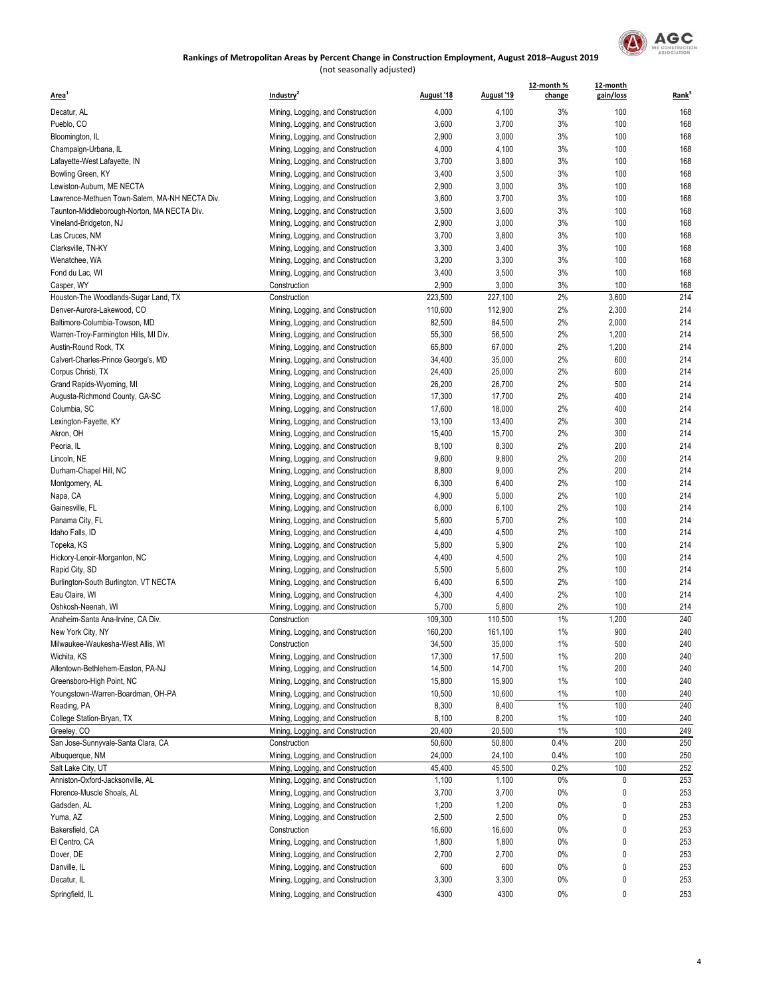

| Area <sup>1</sup>                             | Industry <sup>2</sup>                                                  | August '18       | August '19       | 12-month %<br>change | 12-month<br>gain/loss | Rank <sup>3</sup> |
|-----------------------------------------------|------------------------------------------------------------------------|------------------|------------------|----------------------|-----------------------|-------------------|
| Decatur, AL                                   | Mining, Logging, and Construction                                      | 4,000            | 4,100            | 3%                   | 100                   | 168               |
| Pueblo, CO                                    | Mining, Logging, and Construction                                      | 3,600            | 3,700            | 3%                   | 100                   | 168               |
| Bloomington, IL                               | Mining, Logging, and Construction                                      | 2,900            | 3,000            | 3%                   | 100                   | 168               |
| Champaign-Urbana, IL                          | Mining, Logging, and Construction                                      | 4,000            | 4,100            | 3%                   | 100                   | 168               |
| Lafayette-West Lafayette, IN                  | Mining, Logging, and Construction                                      | 3,700            | 3,800            | 3%                   | 100                   | 168               |
| Bowling Green, KY                             | Mining, Logging, and Construction                                      | 3,400            | 3,500            | 3%                   | 100                   | 168               |
| Lewiston-Auburn, ME NECTA                     | Mining, Logging, and Construction                                      | 2,900            | 3,000            | 3%                   | 100                   | 168               |
| Lawrence-Methuen Town-Salem, MA-NH NECTA Div. | Mining, Logging, and Construction                                      | 3,600            | 3,700            | 3%                   | 100                   | 168               |
| Taunton-Middleborough-Norton, MA NECTA Div.   | Mining, Logging, and Construction                                      | 3,500            | 3,600            | 3%                   | 100                   | 168               |
| Vineland-Bridgeton, NJ                        | Mining, Logging, and Construction                                      | 2,900            | 3,000            | 3%                   | 100                   | 168               |
| Las Cruces, NM                                | Mining, Logging, and Construction                                      | 3,700            | 3,800            | 3%                   | 100                   | 168               |
| Clarksville, TN-KY                            | Mining, Logging, and Construction                                      | 3,300            | 3,400            | 3%                   | 100                   | 168               |
| Wenatchee, WA                                 | Mining, Logging, and Construction                                      | 3,200            | 3,300            | 3%                   | 100                   | 168               |
| Fond du Lac, WI                               | Mining, Logging, and Construction                                      | 3,400            | 3,500            | 3%                   | 100                   | 168               |
| Casper, WY                                    | Construction                                                           | 2,900            | 3,000            | 3%                   | 100                   | 168               |
| Houston-The Woodlands-Sugar Land, TX          | Construction                                                           | 223,500          | 227,100          | 2%                   | 3,600                 | 214               |
| Denver-Aurora-Lakewood, CO                    | Mining, Logging, and Construction                                      | 110,600          | 112,900          | 2%                   | 2,300                 | 214               |
| Baltimore-Columbia-Towson, MD                 | Mining, Logging, and Construction                                      | 82,500           | 84,500           | 2%                   | 2,000                 | 214               |
| Warren-Troy-Farmington Hills, MI Div.         | Mining, Logging, and Construction                                      | 55,300           | 56,500           | 2%                   | 1,200                 | 214               |
| Austin-Round Rock, TX                         | Mining, Logging, and Construction                                      | 65,800           | 67,000           | 2%                   | 1,200                 | 214               |
| Calvert-Charles-Prince George's, MD           | Mining, Logging, and Construction                                      | 34,400           | 35,000           | 2%                   | 600                   | 214               |
| Corpus Christi, TX                            | Mining, Logging, and Construction                                      | 24,400           | 25,000           | 2%                   | 600                   | 214               |
| Grand Rapids-Wyoming, MI                      | Mining, Logging, and Construction                                      | 26,200           | 26,700           | 2%                   | 500                   | 214               |
| Augusta-Richmond County, GA-SC                | Mining, Logging, and Construction                                      | 17,300           | 17,700           | 2%                   | 400                   | 214               |
| Columbia, SC                                  | Mining, Logging, and Construction                                      | 17,600           | 18,000           | 2%                   | 400                   | 214               |
| Lexington-Fayette, KY                         | Mining, Logging, and Construction                                      | 13,100           | 13,400           | 2%                   | 300                   | 214               |
| Akron, OH                                     | Mining, Logging, and Construction                                      | 15,400           | 15,700           | 2%                   | 300                   | 214               |
| Peoria, IL                                    | Mining, Logging, and Construction                                      | 8,100            | 8,300            | 2%                   | 200                   | 214               |
| Lincoln, NE                                   | Mining, Logging, and Construction                                      | 9,600            | 9,800            | 2%                   | 200                   | 214               |
| Durham-Chapel Hill, NC                        | Mining, Logging, and Construction                                      | 8,800            | 9,000            | 2%                   | 200                   | 214               |
| Montgomery, AL                                | Mining, Logging, and Construction                                      | 6,300            | 6,400            | 2%                   | 100                   | 214               |
| Napa, CA                                      | Mining, Logging, and Construction                                      | 4,900            | 5,000            | 2%                   | 100                   | 214               |
| Gainesville, FL                               | Mining, Logging, and Construction                                      | 6,000            | 6,100            | 2%                   | 100                   | 214               |
| Panama City, FL                               | Mining, Logging, and Construction                                      | 5,600            | 5,700            | 2%                   | 100                   | 214               |
| Idaho Falls, ID                               | Mining, Logging, and Construction                                      | 4,400            | 4,500            | 2%                   | 100                   | 214               |
| Topeka, KS                                    | Mining, Logging, and Construction                                      | 5,800            | 5,900            | 2%                   | 100                   | 214               |
| Hickory-Lenoir-Morganton, NC                  | Mining, Logging, and Construction                                      | 4,400            | 4,500            | 2%                   | 100                   | 214               |
| Rapid City, SD                                | Mining, Logging, and Construction                                      | 5,500            | 5,600            | 2%                   | 100                   | 214               |
| Burlington-South Burlington, VT NECTA         | Mining, Logging, and Construction                                      | 6,400            | 6,500            | 2%                   | 100                   | 214               |
| Eau Claire, WI                                | Mining, Logging, and Construction                                      | 4,300            | 4,400            | 2%                   | 100                   | 214               |
| Oshkosh-Neenah, WI                            | Mining, Logging, and Construction                                      | 5,700            | 5,800            | 2%                   | 100                   | 214               |
| Anaheim-Santa Ana-Irvine, CA Div.             | Construction                                                           | 109,300          | 110,500          | 1%                   | 1,200                 | 240               |
| New York City, NY                             | Mining, Logging, and Construction                                      | 160,200          | 161,100          | 1%                   | 900                   | 240               |
| Milwaukee-Waukesha-West Allis, WI             | Construction                                                           | 34,500           | 35,000           | 1%                   | 500                   | 240               |
| Wichita, KS                                   | Mining, Logging, and Construction                                      | 17,300           | 17,500           | $1\%$                | 200                   | 240               |
| Allentown-Bethlehem-Easton, PA-NJ             | Mining, Logging, and Construction                                      | 14,500           | 14,700           | 1%                   | 200                   | 240               |
| Greensboro-High Point, NC                     | Mining, Logging, and Construction                                      | 15,800           | 15,900           | 1%                   | 100                   | 240               |
| Youngstown-Warren-Boardman, OH-PA             | Mining, Logging, and Construction                                      | 10,500           | 10,600           | 1%                   | 100                   | 240               |
|                                               |                                                                        |                  | 8,400            | 1%                   | 100                   | 240               |
| Reading, PA<br>College Station-Bryan, TX      | Mining, Logging, and Construction                                      | 8,300            |                  |                      |                       |                   |
| Greeley, CO                                   | Mining, Logging, and Construction<br>Mining, Logging, and Construction | 8,100<br>20,400  | 8,200            | 1%<br>1%             | 100<br>100            | 240<br>249        |
| San Jose-Sunnyvale-Santa Clara, CA            | Construction                                                           | 50,600           | 20,500<br>50,800 | 0.4%                 | 200                   | 250               |
|                                               |                                                                        |                  |                  |                      |                       |                   |
| Albuquerque, NM<br>Salt Lake City, UT         | Mining, Logging, and Construction                                      | 24,000<br>45,400 | 24,100<br>45,500 | 0.4%<br>0.2%         | 100<br>100            | 250<br>252        |
| Anniston-Oxford-Jacksonville, AL              | Mining, Logging, and Construction                                      | 1,100            | 1,100            | 0%                   | 0                     | 253               |
| Florence-Muscle Shoals, AL                    | Mining, Logging, and Construction                                      | 3,700            | 3,700            | 0%                   | 0                     | 253               |
|                                               | Mining, Logging, and Construction                                      |                  |                  |                      |                       |                   |
| Gadsden, AL                                   | Mining, Logging, and Construction                                      | 1,200            | 1,200            | 0%                   | 0                     | 253               |
| Yuma, AZ                                      | Mining, Logging, and Construction                                      | 2,500            | 2,500            | 0%                   | 0                     | 253               |
| Bakersfield, CA                               | Construction                                                           | 16,600           | 16,600           | 0%                   | 0                     | 253               |
| El Centro, CA                                 | Mining, Logging, and Construction                                      | 1,800            | 1,800            | 0%                   | 0                     | 253               |
| Dover, DE                                     | Mining, Logging, and Construction                                      | 2,700            | 2,700            | 0%                   | 0                     | 253               |
| Danville, IL                                  | Mining, Logging, and Construction                                      | 600              | 600              | 0%                   | 0                     | 253               |
| Decatur, IL                                   | Mining, Logging, and Construction                                      | 3,300            | 3,300            | 0%                   | 0                     | 253               |
| Springfield, IL                               | Mining, Logging, and Construction                                      | 4300             | 4300             | 0%                   | 0                     | 253               |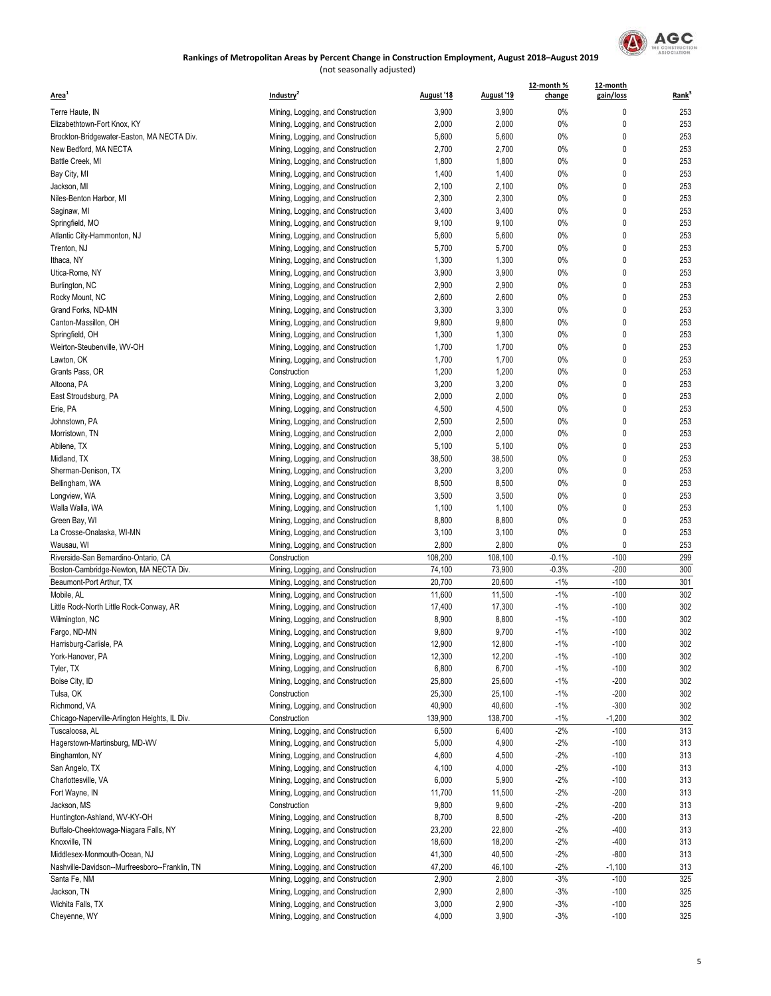

| Area <sup>1</sup>                              | Industry <sup>2</sup>             | August '18 | August '19 | 12-month %<br>change | 12-month<br>gain/loss | Rank       |
|------------------------------------------------|-----------------------------------|------------|------------|----------------------|-----------------------|------------|
| Terre Haute, IN                                | Mining, Logging, and Construction | 3,900      | 3,900      | 0%                   | 0                     | 253        |
| Elizabethtown-Fort Knox, KY                    | Mining, Logging, and Construction | 2,000      | 2,000      | 0%                   | 0                     | 253        |
| Brockton-Bridgewater-Easton, MA NECTA Div.     | Mining, Logging, and Construction | 5,600      | 5,600      | 0%                   | 0                     | 253        |
| New Bedford, MA NECTA                          | Mining, Logging, and Construction | 2,700      | 2,700      | 0%                   | 0                     | 253        |
| Battle Creek, MI                               | Mining, Logging, and Construction | 1,800      | 1,800      | 0%                   | 0                     | 253        |
| Bay City, MI                                   | Mining, Logging, and Construction | 1,400      | 1,400      | 0%                   | 0                     | 253        |
| Jackson, MI                                    | Mining, Logging, and Construction | 2,100      | 2,100      | 0%                   | 0                     | 253        |
| Niles-Benton Harbor, MI                        |                                   | 2,300      | 2,300      | 0%                   | 0                     | 253        |
|                                                | Mining, Logging, and Construction | 3,400      | 3,400      | 0%                   | 0                     | 253        |
| Saginaw, MI                                    | Mining, Logging, and Construction |            |            |                      | 0                     |            |
| Springfield, MO                                | Mining, Logging, and Construction | 9,100      | 9,100      | 0%                   |                       | 253        |
| Atlantic City-Hammonton, NJ                    | Mining, Logging, and Construction | 5,600      | 5,600      | 0%                   | 0                     | 253        |
| Trenton, NJ                                    | Mining, Logging, and Construction | 5,700      | 5,700      | 0%                   | 0                     | 253        |
| Ithaca, NY                                     | Mining, Logging, and Construction | 1,300      | 1,300      | 0%                   | 0                     | 253        |
| Utica-Rome, NY                                 | Mining, Logging, and Construction | 3,900      | 3,900      | 0%                   | 0                     | 253        |
| Burlington, NC                                 | Mining, Logging, and Construction | 2,900      | 2,900      | 0%                   | 0                     | 253        |
| Rocky Mount, NC                                | Mining, Logging, and Construction | 2,600      | 2,600      | 0%                   | 0                     | 253        |
| Grand Forks, ND-MN                             | Mining, Logging, and Construction | 3,300      | 3,300      | 0%                   | 0                     | 253        |
| Canton-Massillon, OH                           | Mining, Logging, and Construction | 9,800      | 9,800      | 0%                   | 0                     | 253        |
| Springfield, OH                                | Mining, Logging, and Construction | 1,300      | 1,300      | 0%                   | 0                     | 253        |
| Weirton-Steubenville, WV-OH                    | Mining, Logging, and Construction | 1,700      | 1,700      | 0%                   | 0                     | 253        |
| Lawton, OK                                     | Mining, Logging, and Construction | 1,700      | 1,700      | 0%                   | 0                     | 253        |
| Grants Pass, OR                                | Construction                      | 1,200      | 1,200      | 0%                   | 0                     | 253        |
| Altoona, PA                                    | Mining, Logging, and Construction | 3,200      | 3,200      | 0%                   | 0                     | 253        |
| East Stroudsburg, PA                           | Mining, Logging, and Construction | 2,000      | 2,000      | 0%                   | 0                     | 253        |
| Erie, PA                                       | Mining, Logging, and Construction | 4,500      | 4,500      | 0%                   | 0                     | 253        |
| Johnstown, PA                                  | Mining, Logging, and Construction | 2,500      | 2,500      | 0%                   | 0                     | 253        |
| Morristown, TN                                 | Mining, Logging, and Construction | 2,000      | 2,000      | 0%                   | 0                     | 253        |
| Abilene, TX                                    | Mining, Logging, and Construction | 5,100      | 5,100      | 0%                   | 0                     | 253        |
| Midland, TX                                    | Mining, Logging, and Construction | 38,500     | 38,500     | 0%                   | 0                     | 253        |
| Sherman-Denison, TX                            | Mining, Logging, and Construction | 3,200      | 3,200      | 0%                   | 0                     | 253        |
| Bellingham, WA                                 | Mining, Logging, and Construction | 8,500      | 8,500      | 0%                   | 0                     | 253        |
| Longview, WA                                   | Mining, Logging, and Construction | 3,500      | 3,500      | 0%                   | 0                     | 253        |
| Walla Walla, WA                                | Mining, Logging, and Construction | 1,100      | 1,100      | 0%                   | 0                     | 253        |
| Green Bay, WI                                  | Mining, Logging, and Construction | 8,800      | 8,800      | 0%                   | 0                     | 253        |
| La Crosse-Onalaska, WI-MN                      | Mining, Logging, and Construction | 3,100      | 3,100      | 0%                   | 0                     | 253        |
| Wausau, WI                                     | Mining, Logging, and Construction | 2,800      | 2,800      | 0%                   | 0                     | 253        |
| Riverside-San Bernardino-Ontario, CA           | Construction                      | 108,200    | 108,100    | $-0.1%$              | $-100$                | 299        |
| Boston-Cambridge-Newton, MA NECTA Div.         | Mining, Logging, and Construction | 74,100     | 73,900     | $-0.3%$              | $-200$                | 300        |
| Beaumont-Port Arthur, TX                       | Mining, Logging, and Construction | 20,700     | 20,600     | $-1%$                | $-100$                | 301        |
| Mobile, AL                                     | Mining, Logging, and Construction | 11,600     | 11,500     | $-1%$                | $-100$                | 302        |
| Little Rock-North Little Rock-Conway, AR       | Mining, Logging, and Construction | 17,400     | 17,300     | $-1%$                | $-100$                | 302        |
| Wilmington, NC                                 | Mining, Logging, and Construction | 8,900      | 8,800      | $-1%$                | $-100$                | 302        |
| Fargo, ND-MN                                   | Mining, Logging, and Construction | 9,800      | 9,700      | $-1%$                | $-100$                | 302        |
| Harrisburg-Carlisle, PA                        | Mining, Logging, and Construction | 12.900     | 12.800     | $-1%$                | $-100$                | 302        |
|                                                |                                   |            |            |                      | $-100$                | 302        |
| York-Hanover, PA<br>Tyler, TX                  | Mining, Logging, and Construction | 12,300     | 12,200     | $-1\%$<br>$-1\%$     | $-100$                |            |
| Boise City, ID                                 | Mining, Logging, and Construction | 6,800      | 6,700      |                      |                       | 302        |
|                                                | Mining, Logging, and Construction | 25,800     | 25,600     | $-1\%$               | $-200$                | 302<br>302 |
| Tulsa, OK                                      | Construction                      | 25,300     | 25,100     | $-1\%$               | $-200$                |            |
| Richmond, VA                                   | Mining, Logging, and Construction | 40,900     | 40,600     | $-1\%$               | $-300$                | 302        |
| Chicago-Naperville-Arlington Heights, IL Div.  | Construction                      | 139,900    | 138,700    | -1%                  | $-1,200$              | 302        |
| Tuscaloosa, AL                                 | Mining, Logging, and Construction | 6,500      | 6,400      | $-2%$                | $-100$                | 313        |
| Hagerstown-Martinsburg, MD-WV                  | Mining, Logging, and Construction | 5,000      | 4,900      | $-2%$                | $-100$                | 313        |
| Binghamton, NY                                 | Mining, Logging, and Construction | 4,600      | 4,500      | -2%                  | $-100$                | 313        |
| San Angelo, TX                                 | Mining, Logging, and Construction | 4,100      | 4,000      | -2%                  | $-100$                | 313        |
| Charlottesville, VA                            | Mining, Logging, and Construction | 6,000      | 5,900      | -2%                  | $-100$                | 313        |
| Fort Wayne, IN                                 | Mining, Logging, and Construction | 11,700     | 11,500     | -2%                  | $-200$                | 313        |
| Jackson, MS                                    | Construction                      | 9,800      | 9,600      | $-2%$                | $-200$                | 313        |
| Huntington-Ashland, WV-KY-OH                   | Mining, Logging, and Construction | 8,700      | 8,500      | -2%                  | $-200$                | 313        |
| Buffalo-Cheektowaga-Niagara Falls, NY          | Mining, Logging, and Construction | 23,200     | 22,800     | -2%                  | -400                  | 313        |
| Knoxville, TN                                  | Mining, Logging, and Construction | 18,600     | 18,200     | -2%                  | -400                  | 313        |
| Middlesex-Monmouth-Ocean, NJ                   | Mining, Logging, and Construction | 41,300     | 40,500     | -2%                  | -800                  | 313        |
| Nashville-Davidson--Murfreesboro--Franklin, TN | Mining, Logging, and Construction | 47,200     | 46,100     | -2%                  | $-1,100$              | 313        |
| Santa Fe, NM                                   | Mining, Logging, and Construction | 2,900      | 2,800      | $-3%$                | $-100$                | 325        |
| Jackson, TN                                    | Mining, Logging, and Construction | 2,900      | 2,800      | $-3%$                | $-100$                | 325        |
| Wichita Falls, TX                              | Mining, Logging, and Construction | 3,000      | 2,900      | -3%                  | $-100$                | 325        |
| Cheyenne, WY                                   | Mining, Logging, and Construction | 4,000      | 3,900      | $-3%$                | $-100$                | 325        |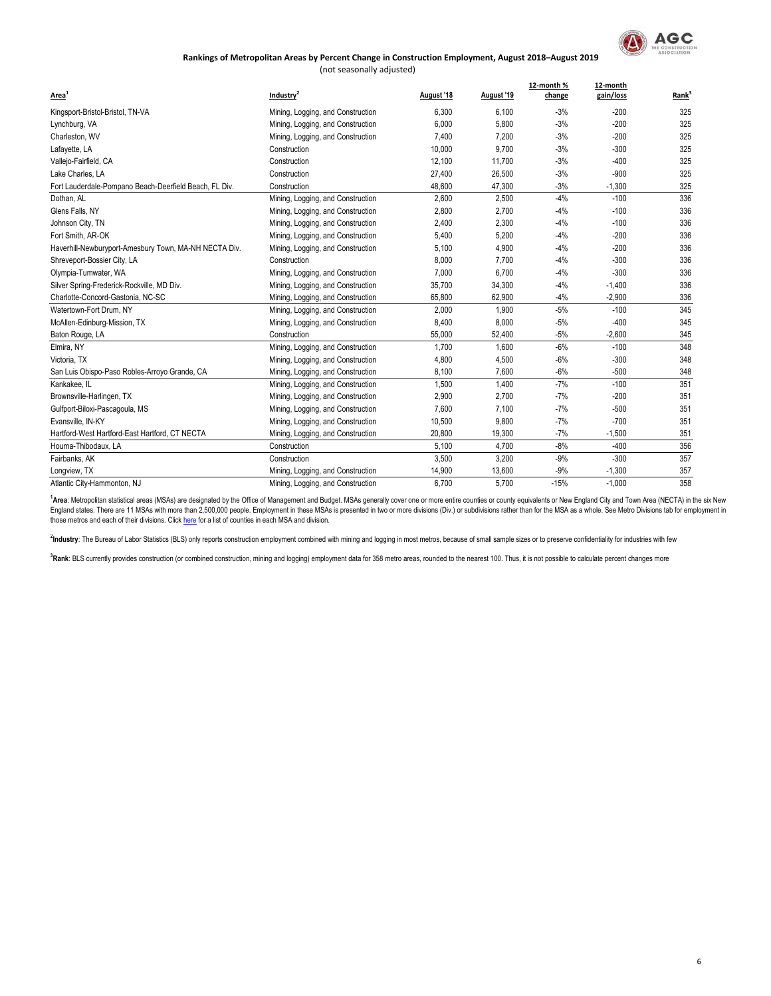

6

## **Rankings of Metropolitan Areas by Percent Change in Construction Employment, August 2018–August 2019**

| (not seasonally adjusted) |  |
|---------------------------|--|
|---------------------------|--|

| Area <sup>1</sup>                                      | Industry <sup>2</sup>             | August '18 | August '19 | 12-month %<br>change | 12-month<br>gain/loss | Rank <sup>3</sup> |
|--------------------------------------------------------|-----------------------------------|------------|------------|----------------------|-----------------------|-------------------|
| Kingsport-Bristol-Bristol, TN-VA                       | Mining, Logging, and Construction | 6,300      | 6.100      | $-3%$                | $-200$                | 325               |
| Lynchburg, VA                                          | Mining, Logging, and Construction | 6,000      | 5,800      | $-3%$                | $-200$                | 325               |
| Charleston, WV                                         | Mining, Logging, and Construction | 7,400      | 7,200      | $-3%$                | $-200$                | 325               |
| Lafayette, LA                                          | Construction                      | 10,000     | 9,700      | $-3%$                | $-300$                | 325               |
| Vallejo-Fairfield, CA                                  | Construction                      | 12,100     | 11,700     | $-3%$                | $-400$                | 325               |
| Lake Charles, LA                                       | Construction                      | 27,400     | 26,500     | $-3%$                | $-900$                | 325               |
| Fort Lauderdale-Pompano Beach-Deerfield Beach, FL Div. | Construction                      | 48,600     | 47,300     | $-3%$                | $-1,300$              | 325               |
| Dothan, AL                                             | Mining, Logging, and Construction | 2,600      | 2,500      | $-4%$                | $-100$                | 336               |
| Glens Falls, NY                                        | Mining, Logging, and Construction | 2,800      | 2,700      | $-4%$                | $-100$                | 336               |
| Johnson City, TN                                       | Mining, Logging, and Construction | 2,400      | 2,300      | $-4%$                | $-100$                | 336               |
| Fort Smith, AR-OK                                      | Mining, Logging, and Construction | 5,400      | 5,200      | $-4%$                | $-200$                | 336               |
| Haverhill-Newburyport-Amesbury Town, MA-NH NECTA Div.  | Mining, Logging, and Construction | 5,100      | 4,900      | $-4%$                | $-200$                | 336               |
| Shreveport-Bossier City, LA                            | Construction                      | 8,000      | 7,700      | $-4%$                | $-300$                | 336               |
| Olympia-Tumwater, WA                                   | Mining, Logging, and Construction | 7,000      | 6,700      | $-4%$                | $-300$                | 336               |
| Silver Spring-Frederick-Rockville, MD Div.             | Mining, Logging, and Construction | 35,700     | 34,300     | $-4%$                | $-1,400$              | 336               |
| Charlotte-Concord-Gastonia, NC-SC                      | Mining, Logging, and Construction | 65,800     | 62,900     | $-4%$                | $-2,900$              | 336               |
| Watertown-Fort Drum, NY                                | Mining, Logging, and Construction | 2.000      | 1.900      | $-5%$                | $-100$                | 345               |
| McAllen-Edinburg-Mission, TX                           | Mining, Logging, and Construction | 8,400      | 8,000      | $-5%$                | $-400$                | 345               |
| Baton Rouge, LA                                        | Construction                      | 55,000     | 52,400     | $-5%$                | $-2,600$              | 345               |
| Elmira, NY                                             | Mining, Logging, and Construction | 1,700      | 1,600      | $-6%$                | $-100$                | 348               |
| Victoria, TX                                           | Mining, Logging, and Construction | 4,800      | 4,500      | $-6%$                | $-300$                | 348               |
| San Luis Obispo-Paso Robles-Arroyo Grande, CA          | Mining, Logging, and Construction | 8,100      | 7,600      | $-6%$                | $-500$                | 348               |
| Kankakee, IL                                           | Mining, Logging, and Construction | 1,500      | 1,400      | $-7%$                | $-100$                | 351               |
| Brownsville-Harlingen, TX                              | Mining, Logging, and Construction | 2,900      | 2,700      | $-7%$                | $-200$                | 351               |
| Gulfport-Biloxi-Pascagoula, MS                         | Mining, Logging, and Construction | 7,600      | 7.100      | $-7%$                | $-500$                | 351               |
| Evansville, IN-KY                                      | Mining, Logging, and Construction | 10,500     | 9.800      | $-7%$                | $-700$                | 351               |
| Hartford-West Hartford-East Hartford, CT NECTA         | Mining, Logging, and Construction | 20,800     | 19,300     | $-7%$                | $-1,500$              | 351               |
| Houma-Thibodaux, LA                                    | Construction                      | 5.100      | 4,700      | $-8%$                | $-400$                | 356               |
| Fairbanks, AK                                          | Construction                      | 3,500      | 3,200      | $-9%$                | $-300$                | 357               |
| Longview, TX                                           | Mining, Logging, and Construction | 14,900     | 13,600     | $-9%$                | $-1,300$              | 357               |
| Atlantic City-Hammonton, NJ                            | Mining, Logging, and Construction | 6,700      | 5,700      | $-15%$               | $-1,000$              | 358               |

<sup>[1](https://www.bea.gov/regional/docs/msalist.cfm)</sup>[Area](https://www.bea.gov/regional/docs/msalist.cfm)[: Metropolitan statistical areas \(MSAs\) are designated by the Office of](https://www.bea.gov/regional/docs/msalist.cfm) Management and Budget. MSAs generally cover one or more entire counties or county equivalents or New England City and Town Area (NECTA) in the [those metros and each of their divisions. Click here for a list of counties in ea](https://www.bea.gov/regional/docs/msalist.cfm)ch MSA and division.

<sup>2</sup>Industry: The Bureau of Labor Statistics (BLS) only reports construction employment combined with mining and logging in most metros, because of small sample sizes or to preserve confidentiality for industries with few

<sup>3</sup>Rank: BLS currently provides construction (or combined construction, mining and logging) employment data for 358 metro areas, rounded to the nearest 100. Thus, it is not possible to calculate percent changes more